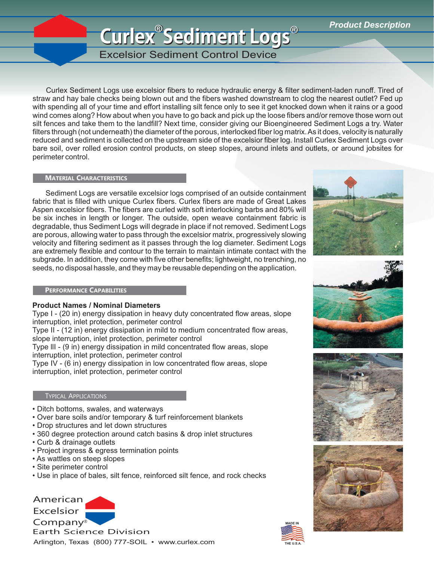## **Curlex Sediment Logs Curlex Sediment Logs** ®® *Product Description* ®

Excelsior Sediment Control Device

Curlex Sediment Logs use excelsior fibers to reduce hydraulic energy & filter sediment-laden runoff. Tired of straw and hay bale checks being blown out and the fibers washed downstream to clog the nearest outlet? Fed up with spending all of your time and effort installing silt fence only to see it get knocked down when it rains or a good wind comes along? How about when you have to go back and pick up the loose fibers and/or remove those worn out silt fences and take them to the landfill? Next time, consider giving our Bioengineered Sediment Logs a try. Water filters through (not underneath) the diameter of the porous, interlocked fiber log matrix. As it does, velocity is naturally reduced and sediment is collected on the upstream side of the excelsior fiber log. Install Curlex Sediment Logs over bare soil, over rolled erosion control products, on steep slopes, around inlets and outlets, or around jobsites for perimeter control.

## **MATERIAL CHARACTERISTICS**

Sediment Logs are versatile excelsior logs comprised of an outside containment fabric that is filled with unique Curlex fibers. Curlex fibers are made of Great Lakes Aspen excelsior fibers. The fibers are curled with soft interlocking barbs and 80% will be six inches in length or longer. The outside, open weave containment fabric is degradable, thus Sediment Logs will degrade in place if not removed. Sediment Logs are porous, allowing water to pass through the excelsior matrix, progressively slowing velocity and filtering sediment as it passes through the log diameter. Sediment Logs are extremely flexible and contour to the terrain to maintain intimate contact with the subgrade. In addition, they come with five other benefits; lightweight, no trenching, no seeds, no disposal hassle, and they may be reusable depending on the application.



**PERFORMANCE CAPABILITIES** 

## **Product Names / Nominal Diameters**

Type I - (20 in) energy dissipation in heavy duty concentrated flow areas, slope interruption, inlet protection, perimeter control

Type II - (12 in) energy dissipation in mild to medium concentrated flow areas, slope interruption, inlet protection, perimeter control

Type llI - (9 in) energy dissipation in mild concentrated flow areas, slope interruption, inlet protection, perimeter control

Type IV - (6 in) energy dissipation in low concentrated flow areas, slope interruption, inlet protection, perimeter control

## **TYPICAL APPLICATIONS**

- Ditch bottoms, swales, and waterways
- Over bare soils and/or temporary & turf reinforcement blankets
- Drop structures and let down structures
- 360 degree protection around catch basins & drop inlet structures
- Curb & drainage outlets
- Project ingress & egress termination points
- As wattles on steep slopes
- Site perimeter control
- Use in place of bales, silt fence, reinforced silt fence, and rock checks

Arlington, Texas (800) 777-SOIL • www.curlex.com American Excelsior Company® Earth Science Division